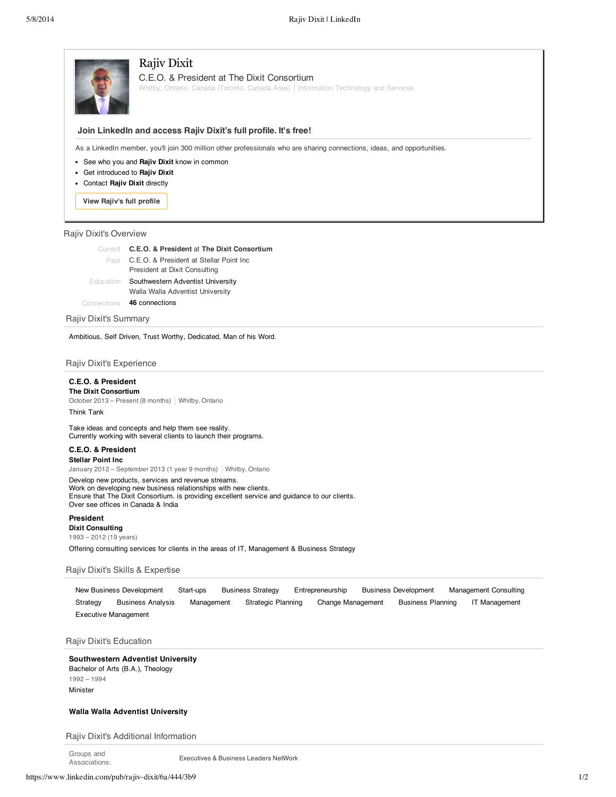

# Rajiv Dixit

C.E.O. & President at The Dixit Consortium

Whitby, Ontario, Canada (Toronto, Canada Area) | Information Technology and Services

## **Join LinkedIn and access Rajiv Dixit's full profile. It's free!**

As a LinkedIn member, you'll join 300 million other professionals who are sharing connections, ideas, and opportunities.

- See who you and **Rajiv Dixit** know in common
- Get introduced to **Rajiv Dixit**
- Contact **Rajiv Dixit** directly

**View Rajiv's full profile**

### Rajiv Dixit's Overview

| Current C.E.O. & President at The Dixit Consortium |
|----------------------------------------------------|
| Past C.E.O. & President at Stellar Point Inc       |
| President at Dixit Consulting                      |
| Education Southwestern Adventist University        |
| Walla Walla Adventist University                   |
| Connections 46 connections                         |

Rajiv Dixit's Summary

Ambitious, Self Driven, Trust Worthy, Dedicated, Man of his Word.

Rajiv Dixit's Experience

# **C.E.O. & President**

**The Dixit Consortium** October 2013 – Present (8 months) | Whitby, Ontario Think Tank

Take ideas and concepts and help them see reality. Currently working with several clients to launch their programs.

### **C.E.O. & President Stellar Point Inc**

January 2012 – September 2013 (1 year 9 months) | Whitby, Ontario

Develop new products, services and revenue streams. Work on developing new business relationships with new clients. Ensure that The Dixit Consortium. is providing excellent service and guidance to our clients. Over see offices in Canada & India

## **President**

**Dixit Consulting** 1993 – 2012 (19 years) Offering consulting services for clients in the areas of IT, Management & Business Strategy

### Rajiv Dixit's Skills & Expertise

New Business Development Start-ups Business Strategy Entrepreneurship Business Development Management Consulting Strategy Business Analysis Management Strategic Planning Change Management Business Planning IT Management Executive Management

Rajiv Dixit's Education

### **Southwestern Adventist University**

Bachelor of Arts (B.A.), Theology 1992 – 1994 Minister

## **Walla Walla Adventist University**

Rajiv Dixit's Additional Information

Groups and Associations:

Executives & Business Leaders NetWork